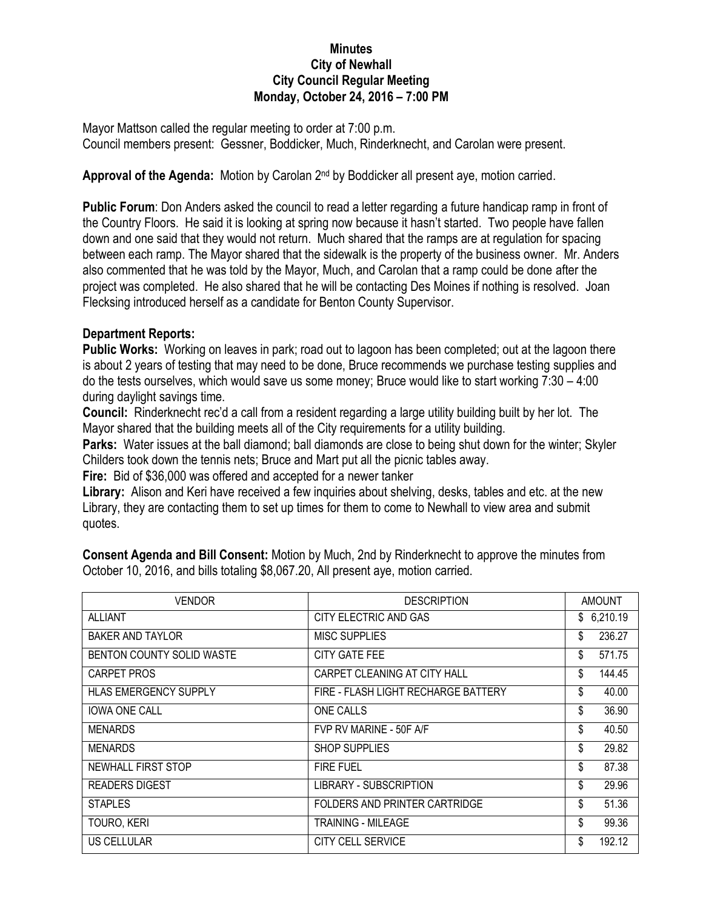## **Minutes City of Newhall City Council Regular Meeting Monday, October 24, 2016 – 7:00 PM**

Mayor Mattson called the regular meeting to order at 7:00 p.m. Council members present: Gessner, Boddicker, Much, Rinderknecht, and Carolan were present.

Approval of the Agenda: Motion by Carolan 2<sup>nd</sup> by Boddicker all present aye, motion carried.

**Public Forum**: Don Anders asked the council to read a letter regarding a future handicap ramp in front of the Country Floors. He said it is looking at spring now because it hasn't started. Two people have fallen down and one said that they would not return. Much shared that the ramps are at regulation for spacing between each ramp. The Mayor shared that the sidewalk is the property of the business owner. Mr. Anders also commented that he was told by the Mayor, Much, and Carolan that a ramp could be done after the project was completed. He also shared that he will be contacting Des Moines if nothing is resolved. Joan Flecksing introduced herself as a candidate for Benton County Supervisor.

## **Department Reports:**

**Public Works:** Working on leaves in park; road out to lagoon has been completed; out at the lagoon there is about 2 years of testing that may need to be done, Bruce recommends we purchase testing supplies and do the tests ourselves, which would save us some money; Bruce would like to start working 7:30 – 4:00 during daylight savings time.

**Council:** Rinderknecht rec'd a call from a resident regarding a large utility building built by her lot. The Mayor shared that the building meets all of the City requirements for a utility building.

**Parks:** Water issues at the ball diamond; ball diamonds are close to being shut down for the winter; Skyler Childers took down the tennis nets; Bruce and Mart put all the picnic tables away.

**Fire:** Bid of \$36,000 was offered and accepted for a newer tanker

**Library:** Alison and Keri have received a few inquiries about shelving, desks, tables and etc. at the new Library, they are contacting them to set up times for them to come to Newhall to view area and submit quotes.

**Consent Agenda and Bill Consent:** Motion by Much, 2nd by Rinderknecht to approve the minutes from October 10, 2016, and bills totaling \$8,067.20, All present aye, motion carried.

| <b>VENDOR</b>             | <b>DESCRIPTION</b>                  | <b>AMOUNT</b> |            |
|---------------------------|-------------------------------------|---------------|------------|
| <b>ALLIANT</b>            | CITY ELECTRIC AND GAS               |               | \$6,210.19 |
| <b>BAKER AND TAYLOR</b>   | <b>MISC SUPPLIES</b>                | \$            | 236.27     |
| BENTON COUNTY SOLID WASTE | CITY GATE FEE                       | \$            | 571.75     |
| CARPET PROS               | CARPET CLEANING AT CITY HALL        | \$            | 144.45     |
| HLAS EMERGENCY SUPPLY     | FIRE - FLASH LIGHT RECHARGE BATTERY | \$            | 40.00      |
| <b>IOWA ONE CALL</b>      | <b>ONE CALLS</b>                    | \$            | 36.90      |
| <b>MENARDS</b>            | FVP RV MARINE - 50F A/F             | \$            | 40.50      |
| <b>MENARDS</b>            | <b>SHOP SUPPLIES</b>                | \$            | 29.82      |
| NEWHALL FIRST STOP        | <b>FIRE FUEL</b>                    | \$            | 87.38      |
| <b>READERS DIGEST</b>     | LIBRARY - SUBSCRIPTION              | \$            | 29.96      |
| <b>STAPLES</b>            | FOLDERS AND PRINTER CARTRIDGE       | \$            | 51.36      |
| TOURO, KERI               | TRAINING - MILEAGE                  | \$            | 99.36      |
| US CELLULAR               | <b>CITY CELL SERVICE</b>            | \$            | 192.12     |